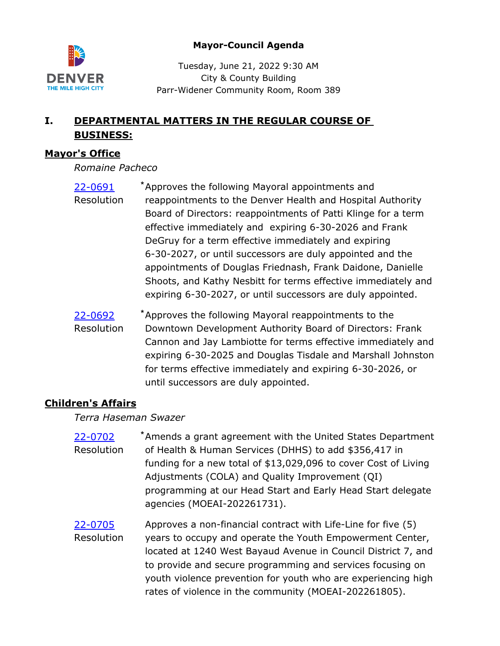



Tuesday, June 21, 2022 9:30 AM City & County Building Parr-Widener Community Room, Room 389

# **I. DEPARTMENTAL MATTERS IN THE REGULAR COURSE OF BUSINESS:**

## **Mayor's Office**

*Romaine Pacheco*

- [22-0691](http://denver.legistar.com/gateway.aspx?m=l&id=/matter.aspx?key=21758) \* Approves the following Mayoral appointments and reappointments to the Denver Health and Hospital Authority Board of Directors: reappointments of Patti Klinge for a term effective immediately and expiring 6-30-2026 and Frank DeGruy for a term effective immediately and expiring 6-30-2027, or until successors are duly appointed and the appointments of Douglas Friednash, Frank Daidone, Danielle Shoots, and Kathy Nesbitt for terms effective immediately and expiring 6-30-2027, or until successors are duly appointed. Resolution
- [22-0692](http://denver.legistar.com/gateway.aspx?m=l&id=/matter.aspx?key=21759) \* Approves the following Mayoral reappointments to the Downtown Development Authority Board of Directors: Frank Cannon and Jay Lambiotte for terms effective immediately and expiring 6-30-2025 and Douglas Tisdale and Marshall Johnston for terms effective immediately and expiring 6-30-2026, or until successors are duly appointed. Resolution

# **Children's Affairs**

*Terra Haseman Swazer*

- [22-0702](http://denver.legistar.com/gateway.aspx?m=l&id=/matter.aspx?key=21769) <sup>\*</sup> Amends a grant agreement with the United States Department of Health & Human Services (DHHS) to add \$356,417 in funding for a new total of \$13,029,096 to cover Cost of Living Adjustments (COLA) and Quality Improvement (QI) programming at our Head Start and Early Head Start delegate agencies (MOEAI-202261731). Resolution [22-0705](http://denver.legistar.com/gateway.aspx?m=l&id=/matter.aspx?key=21772) Approves a non-financial contract with Life-Line for five (5)
- years to occupy and operate the Youth Empowerment Center, located at 1240 West Bayaud Avenue in Council District 7, and to provide and secure programming and services focusing on youth violence prevention for youth who are experiencing high rates of violence in the community (MOEAI-202261805). Resolution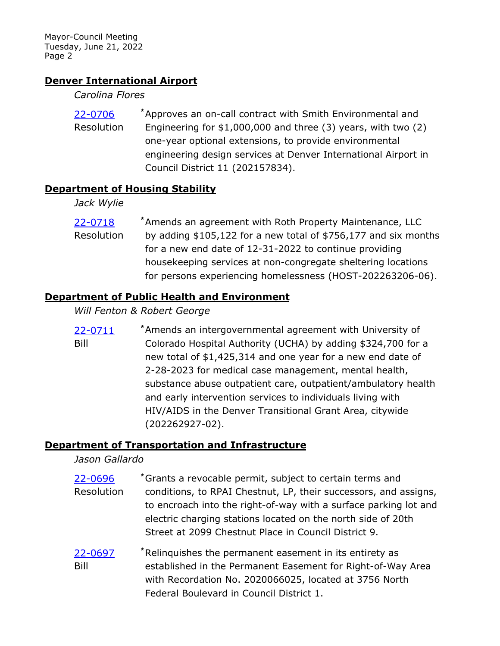### **Denver International Airport**

#### *Carolina Flores*

[22-0706](http://denver.legistar.com/gateway.aspx?m=l&id=/matter.aspx?key=21773) \* Approves an on-call contract with Smith Environmental and Engineering for \$1,000,000 and three (3) years, with two (2) one-year optional extensions, to provide environmental engineering design services at Denver International Airport in Council District 11 (202157834). Resolution

#### **Department of Housing Stability**

*Jack Wylie*

[22-0718](http://denver.legistar.com/gateway.aspx?m=l&id=/matter.aspx?key=21785) <sup>\*</sup> Amends an agreement with Roth Property Maintenance, LLC by adding \$105,122 for a new total of \$756,177 and six months for a new end date of 12-31-2022 to continue providing housekeeping services at non-congregate sheltering locations for persons experiencing homelessness (HOST-202263206-06). Resolution

#### **Department of Public Health and Environment**

#### *Will Fenton & Robert George*

[22-0711](http://denver.legistar.com/gateway.aspx?m=l&id=/matter.aspx?key=21778) \* Amends an intergovernmental agreement with University of Colorado Hospital Authority (UCHA) by adding \$324,700 for a new total of \$1,425,314 and one year for a new end date of 2-28-2023 for medical case management, mental health, substance abuse outpatient care, outpatient/ambulatory health and early intervention services to individuals living with HIV/AIDS in the Denver Transitional Grant Area, citywide (202262927-02). Bill

#### **Department of Transportation and Infrastructure**

#### *Jason Gallardo*

- [22-0696](http://denver.legistar.com/gateway.aspx?m=l&id=/matter.aspx?key=21763) <sup>\*</sup>Grants a revocable permit, subject to certain terms and conditions, to RPAI Chestnut, LP, their successors, and assigns, to encroach into the right-of-way with a surface parking lot and electric charging stations located on the north side of 20th Street at 2099 Chestnut Place in Council District 9. Resolution
- [22-0697](http://denver.legistar.com/gateway.aspx?m=l&id=/matter.aspx?key=21764) \* Relinquishes the permanent easement in its entirety as established in the Permanent Easement for Right-of-Way Area with Recordation No. 2020066025, located at 3756 North Federal Boulevard in Council District 1. Bill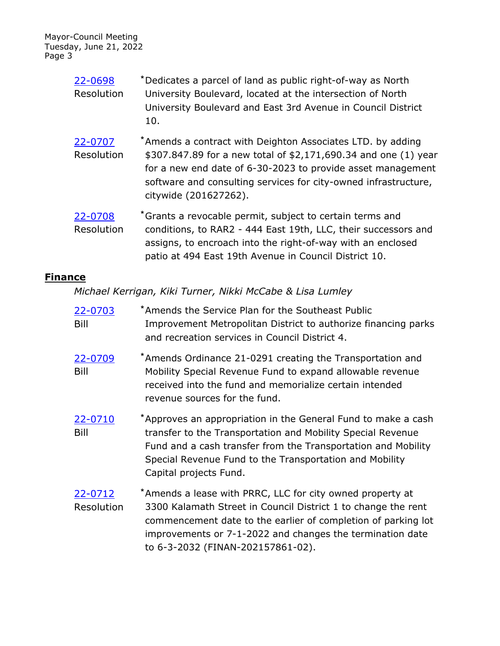| 22-0698<br>Resolution | *Dedicates a parcel of land as public right-of-way as North<br>University Boulevard, located at the intersection of North<br>University Boulevard and East 3rd Avenue in Council District<br>10.                                                                                         |
|-----------------------|------------------------------------------------------------------------------------------------------------------------------------------------------------------------------------------------------------------------------------------------------------------------------------------|
| 22-0707<br>Resolution | *Amends a contract with Deighton Associates LTD. by adding<br>\$307.847.89 for a new total of \$2,171,690.34 and one (1) year<br>for a new end date of 6-30-2023 to provide asset management<br>software and consulting services for city-owned infrastructure,<br>citywide (201627262). |
| 22-0708<br>Resolution | *Grants a revocable permit, subject to certain terms and<br>conditions, to RAR2 - 444 East 19th, LLC, their successors and<br>assigns, to encroach into the right-of-way with an enclosed<br>patio at 494 East 19th Avenue in Council District 10.                                       |

## **Finance**

*Michael Kerrigan, Kiki Turner, Nikki McCabe & Lisa Lumley*

| 22-0703<br>Bill       | *Amends the Service Plan for the Southeast Public<br>Improvement Metropolitan District to authorize financing parks<br>and recreation services in Council District 4.                                                                                                                         |
|-----------------------|-----------------------------------------------------------------------------------------------------------------------------------------------------------------------------------------------------------------------------------------------------------------------------------------------|
| 22-0709<br>Bill       | *Amends Ordinance 21-0291 creating the Transportation and<br>Mobility Special Revenue Fund to expand allowable revenue<br>received into the fund and memorialize certain intended<br>revenue sources for the fund.                                                                            |
| 22-0710<br>Bill       | *Approves an appropriation in the General Fund to make a cash<br>transfer to the Transportation and Mobility Special Revenue<br>Fund and a cash transfer from the Transportation and Mobility<br>Special Revenue Fund to the Transportation and Mobility<br>Capital projects Fund.            |
| 22-0712<br>Resolution | *Amends a lease with PRRC, LLC for city owned property at<br>3300 Kalamath Street in Council District 1 to change the rent<br>commencement date to the earlier of completion of parking lot<br>improvements or 7-1-2022 and changes the termination date<br>to 6-3-2032 (FINAN-202157861-02). |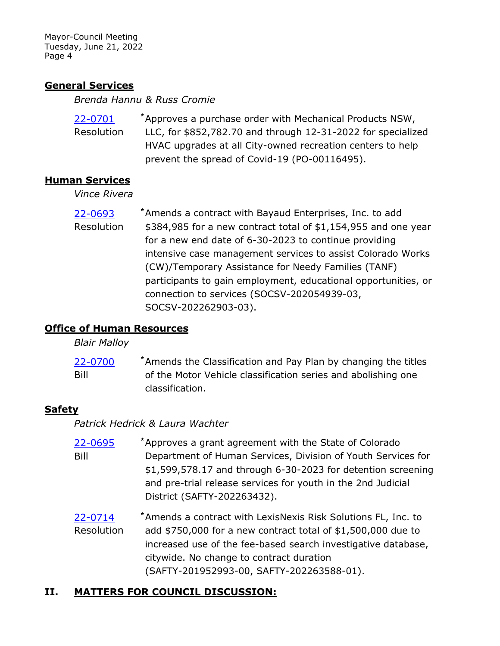### **General Services**

*Brenda Hannu & Russ Cromie*

| 22-0701    | *Approves a purchase order with Mechanical Products NSW,     |
|------------|--------------------------------------------------------------|
| Resolution | LLC, for \$852,782.70 and through 12-31-2022 for specialized |
|            | HVAC upgrades at all City-owned recreation centers to help   |
|            | prevent the spread of Covid-19 (PO-00116495).                |

#### **Human Services**

*Vince Rivera*

[22-0693](http://denver.legistar.com/gateway.aspx?m=l&id=/matter.aspx?key=21760) \* Amends a contract with Bayaud Enterprises, Inc. to add \$384,985 for a new contract total of \$1,154,955 and one year for a new end date of 6-30-2023 to continue providing intensive case management services to assist Colorado Works (CW)/Temporary Assistance for Needy Families (TANF) participants to gain employment, educational opportunities, or connection to services (SOCSV-202054939-03, SOCSV-202262903-03). Resolution

## **Office of Human Resources**

*Blair Malloy*

[22-0700](http://denver.legistar.com/gateway.aspx?m=l&id=/matter.aspx?key=21767) \* Amends the Classification and Pay Plan by changing the titles of the Motor Vehicle classification series and abolishing one classification. Bill

## **Safety**

*Patrick Hedrick & Laura Wachter*

- [22-0695](http://denver.legistar.com/gateway.aspx?m=l&id=/matter.aspx?key=21762) \* Approves a grant agreement with the State of Colorado Department of Human Services, Division of Youth Services for \$1,599,578.17 and through 6-30-2023 for detention screening and pre-trial release services for youth in the 2nd Judicial District (SAFTY-202263432). Bill
- [22-0714](http://denver.legistar.com/gateway.aspx?m=l&id=/matter.aspx?key=21781) <sup>\*</sup> Amends a contract with LexisNexis Risk Solutions FL, Inc. to add \$750,000 for a new contract total of \$1,500,000 due to increased use of the fee-based search investigative database, citywide. No change to contract duration (SAFTY-201952993-00, SAFTY-202263588-01). Resolution

## **II. MATTERS FOR COUNCIL DISCUSSION:**